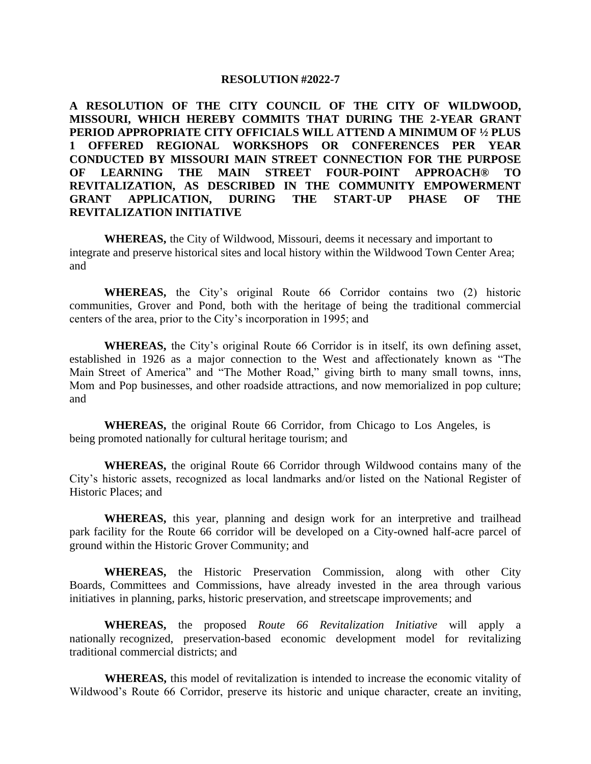#### **RESOLUTION #2022-7**

**A RESOLUTION OF THE CITY COUNCIL OF THE CITY OF WILDWOOD, MISSOURI, WHICH HEREBY COMMITS THAT DURING THE 2-YEAR GRANT PERIOD APPROPRIATE CITY OFFICIALS WILL ATTEND A MINIMUM OF ½ PLUS 1 OFFERED REGIONAL WORKSHOPS OR CONFERENCES PER YEAR CONDUCTED BY MISSOURI MAIN STREET CONNECTION FOR THE PURPOSE OF LEARNING THE MAIN STREET FOUR-POINT APPROACH® TO REVITALIZATION, AS DESCRIBED IN THE COMMUNITY EMPOWERMENT GRANT APPLICATION, DURING THE START-UP PHASE OF THE REVITALIZATION INITIATIVE**

**WHEREAS,** the City of Wildwood, Missouri, deems it necessary and important to integrate and preserve historical sites and local history within the Wildwood Town Center Area; and

**WHEREAS,** the City's original Route 66 Corridor contains two (2) historic communities, Grover and Pond, both with the heritage of being the traditional commercial centers of the area, prior to the City's incorporation in 1995; and

**WHEREAS,** the City's original Route 66 Corridor is in itself, its own defining asset, established in 1926 as a major connection to the West and affectionately known as "The Main Street of America" and "The Mother Road," giving birth to many small towns, inns, Mom and Pop businesses, and other roadside attractions, and now memorialized in pop culture; and

**WHEREAS,** the original Route 66 Corridor, from Chicago to Los Angeles, is being promoted nationally for cultural heritage tourism; and

**WHEREAS,** the original Route 66 Corridor through Wildwood contains many of the City's historic assets, recognized as local landmarks and/or listed on the National Register of Historic Places; and

**WHEREAS,** this year, planning and design work for an interpretive and trailhead park facility for the Route 66 corridor will be developed on a City-owned half-acre parcel of ground within the Historic Grover Community; and

**WHEREAS,** the Historic Preservation Commission, along with other City Boards, Committees and Commissions, have already invested in the area through various initiatives in planning, parks, historic preservation, and streetscape improvements; and

**WHEREAS,** the proposed *Route 66 Revitalization Initiative* will apply a nationally recognized, preservation-based economic development model for revitalizing traditional commercial districts; and

**WHEREAS,** this model of revitalization is intended to increase the economic vitality of Wildwood's Route 66 Corridor, preserve its historic and unique character, create an inviting,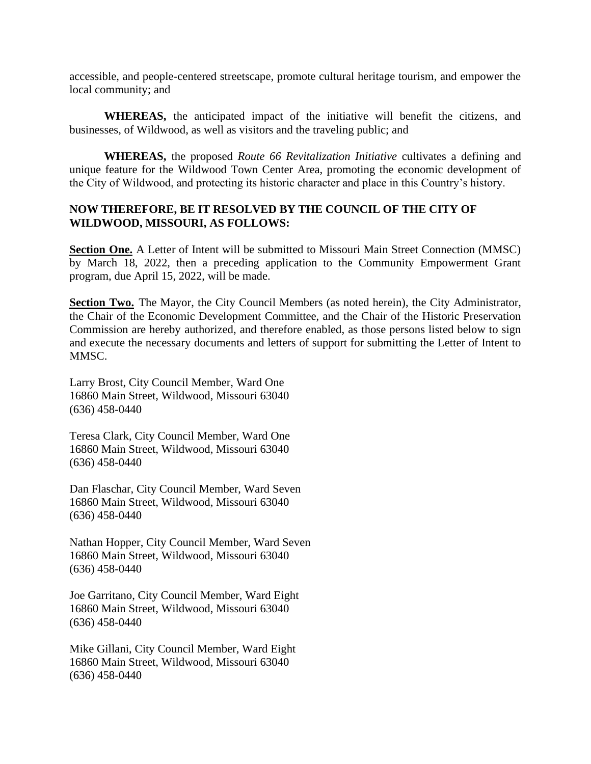accessible, and people-centered streetscape, promote cultural heritage tourism, and empower the local community; and

**WHEREAS,** the anticipated impact of the initiative will benefit the citizens, and businesses, of Wildwood, as well as visitors and the traveling public; and

**WHEREAS,** the proposed *Route 66 Revitalization Initiative* cultivates a defining and unique feature for the Wildwood Town Center Area, promoting the economic development of the City of Wildwood, and protecting its historic character and place in this Country's history.

## **NOW THEREFORE, BE IT RESOLVED BY THE COUNCIL OF THE CITY OF WILDWOOD, MISSOURI, AS FOLLOWS:**

**Section One.** A Letter of Intent will be submitted to Missouri Main Street Connection (MMSC) by March 18, 2022, then a preceding application to the Community Empowerment Grant program, due April 15, 2022, will be made.

**Section Two.** The Mayor, the City Council Members (as noted herein), the City Administrator, the Chair of the Economic Development Committee, and the Chair of the Historic Preservation Commission are hereby authorized, and therefore enabled, as those persons listed below to sign and execute the necessary documents and letters of support for submitting the Letter of Intent to MMSC.

Larry Brost, City Council Member, Ward One 16860 Main Street, Wildwood, Missouri 63040 (636) 458-0440

Teresa Clark, City Council Member, Ward One 16860 Main Street, Wildwood, Missouri 63040 (636) 458-0440

Dan Flaschar, City Council Member, Ward Seven 16860 Main Street, Wildwood, Missouri 63040 (636) 458-0440

Nathan Hopper, City Council Member, Ward Seven 16860 Main Street, Wildwood, Missouri 63040 (636) 458-0440

Joe Garritano, City Council Member, Ward Eight 16860 Main Street, Wildwood, Missouri 63040 (636) 458-0440

Mike Gillani, City Council Member, Ward Eight 16860 Main Street, Wildwood, Missouri 63040 (636) 458-0440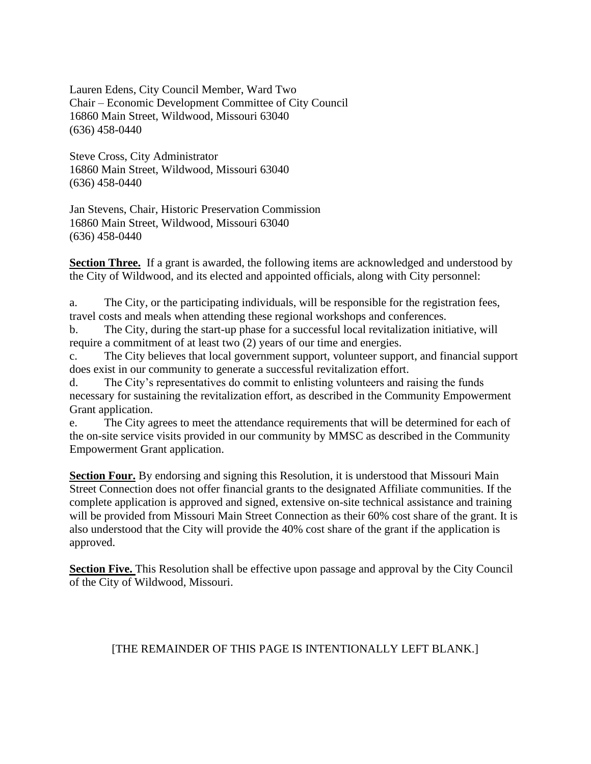Lauren Edens, City Council Member, Ward Two Chair – Economic Development Committee of City Council 16860 Main Street, Wildwood, Missouri 63040 (636) 458-0440

Steve Cross, City Administrator 16860 Main Street, Wildwood, Missouri 63040 (636) 458-0440

Jan Stevens, Chair, Historic Preservation Commission 16860 Main Street, Wildwood, Missouri 63040 (636) 458-0440

**Section Three.** If a grant is awarded, the following items are acknowledged and understood by the City of Wildwood, and its elected and appointed officials, along with City personnel:

a. The City, or the participating individuals, will be responsible for the registration fees, travel costs and meals when attending these regional workshops and conferences.

b. The City, during the start-up phase for a successful local revitalization initiative, will require a commitment of at least two (2) years of our time and energies.

c. The City believes that local government support, volunteer support, and financial support does exist in our community to generate a successful revitalization effort.

d. The City's representatives do commit to enlisting volunteers and raising the funds necessary for sustaining the revitalization effort, as described in the Community Empowerment Grant application.

e. The City agrees to meet the attendance requirements that will be determined for each of the on-site service visits provided in our community by MMSC as described in the Community Empowerment Grant application.

**Section Four.** By endorsing and signing this Resolution, it is understood that Missouri Main Street Connection does not offer financial grants to the designated Affiliate communities. If the complete application is approved and signed, extensive on-site technical assistance and training will be provided from Missouri Main Street Connection as their 60% cost share of the grant. It is also understood that the City will provide the 40% cost share of the grant if the application is approved.

**Section Five.** This Resolution shall be effective upon passage and approval by the City Council of the City of Wildwood, Missouri.

# [THE REMAINDER OF THIS PAGE IS INTENTIONALLY LEFT BLANK.]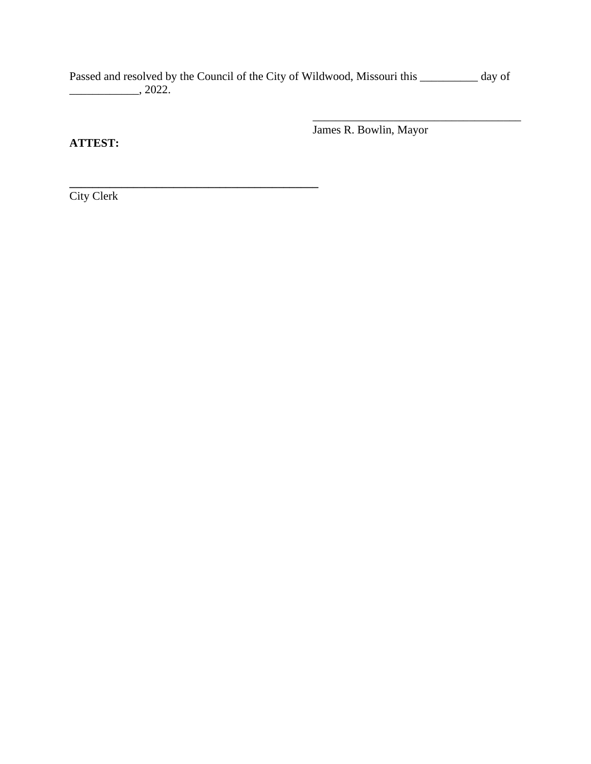Passed and resolved by the Council of the City of Wildwood, Missouri this \_\_\_\_\_\_\_\_\_\_ day of  $\frac{1}{2022}$ ,  $2022$ .

**ATTEST:**

James R. Bowlin, Mayor

\_\_\_\_\_\_\_\_\_\_\_\_\_\_\_\_\_\_\_\_\_\_\_\_\_\_\_\_\_\_\_\_\_\_\_\_

City Clerk

**\_\_\_\_\_\_\_\_\_\_\_\_\_\_\_\_\_\_\_\_\_\_\_\_\_\_\_\_\_\_\_\_\_\_\_\_\_\_\_\_\_\_\_**